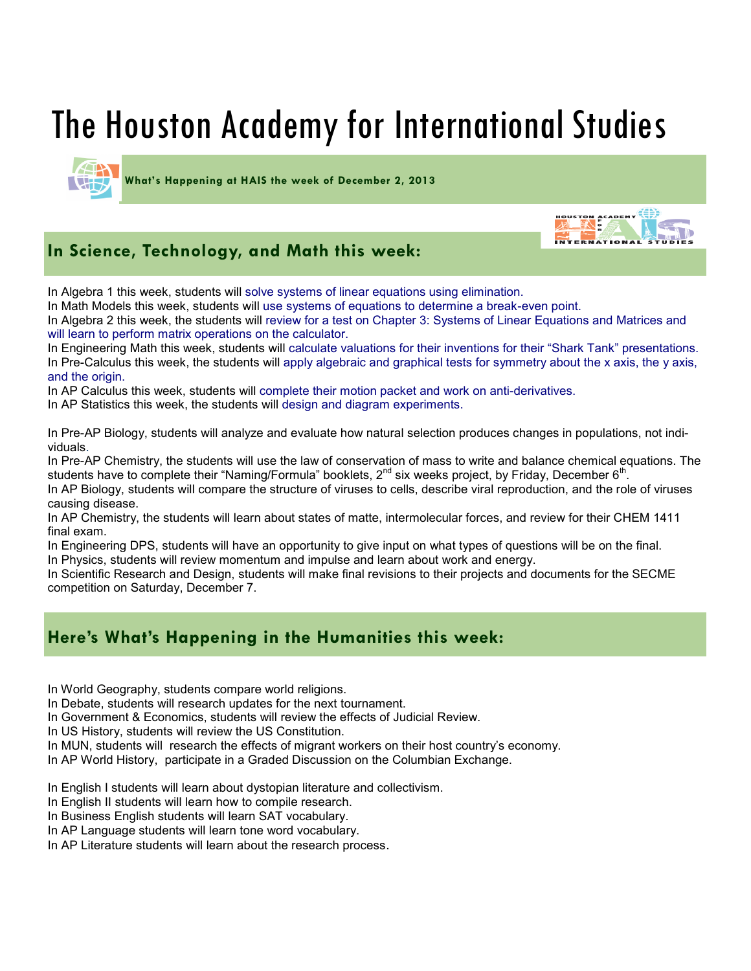# The Houston Academy for International Studies

**What's Happening at HAIS the week of December 2, 2013**

## **In Science, Technology, and Math this week:**

In Algebra 1 this week, students will solve systems of linear equations using elimination.

In Math Models this week, students will use systems of equations to determine a break-even point.

In Algebra 2 this week, the students will review for a test on Chapter 3: Systems of Linear Equations and Matrices and will learn to perform matrix operations on the calculator.

ON ACADEMY

In Engineering Math this week, students will calculate valuations for their inventions for their "Shark Tank" presentations. In Pre-Calculus this week, the students will apply algebraic and graphical tests for symmetry about the x axis, the y axis, and the origin.

In AP Calculus this week, students will complete their motion packet and work on anti-derivatives.

In AP Statistics this week, the students will design and diagram experiments.

In Pre-AP Biology, students will analyze and evaluate how natural selection produces changes in populations, not individuals.

In Pre-AP Chemistry, the students will use the law of conservation of mass to write and balance chemical equations. The students have to complete their "Naming/Formula" booklets, 2<sup>nd</sup> six weeks project, by Friday, December 6<sup>th</sup>.

In AP Biology, students will compare the structure of viruses to cells, describe viral reproduction, and the role of viruses causing disease.

In AP Chemistry, the students will learn about states of matte, intermolecular forces, and review for their CHEM 1411 final exam.

In Engineering DPS, students will have an opportunity to give input on what types of questions will be on the final. In Physics, students will review momentum and impulse and learn about work and energy.

In Scientific Research and Design, students will make final revisions to their projects and documents for the SECME competition on Saturday, December 7.

### **Here's What's Happening in the Humanities this week:**

In World Geography, students compare world religions.

In Debate, students will research updates for the next tournament.

In Government & Economics, students will review the effects of Judicial Review.

In US History, students will review the US Constitution.

In MUN, students will research the effects of migrant workers on their host country's economy.

In AP World History, participate in a Graded Discussion on the Columbian Exchange.

In English I students will learn about dystopian literature and collectivism.

In English II students will learn how to compile research.

In Business English students will learn SAT vocabulary.

In AP Language students will learn tone word vocabulary.

In AP Literature students will learn about the research process.